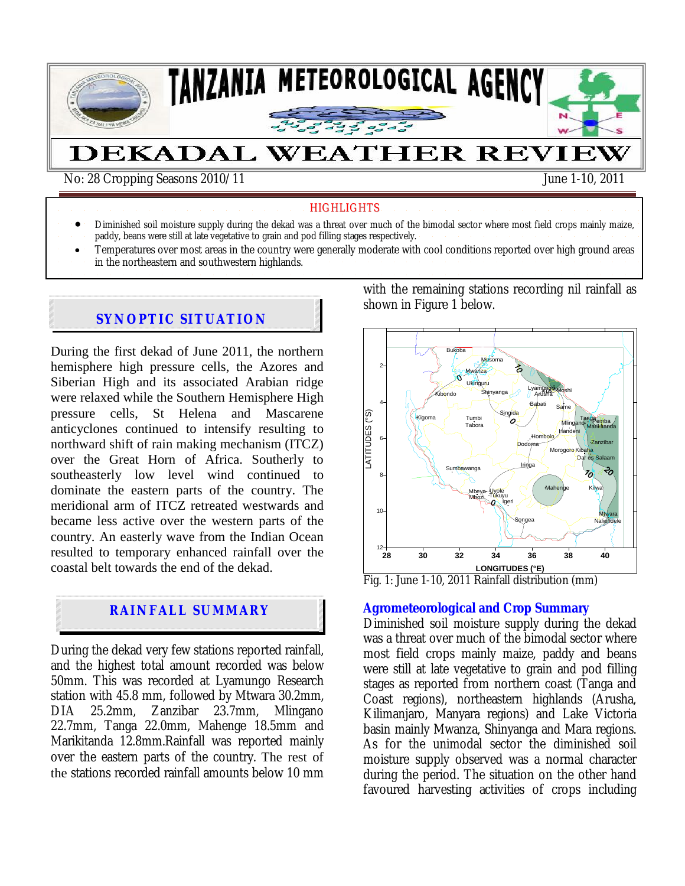

**HIGHLIGHTS** 

- Diminished soil moisture supply during the dekad was a threat over much of the bimodal sector where most field crops mainly maize,
- paddy, beans were still at late vegetative to grain and pod filling stages respectively.
- Temperatures over most areas in the country were generally moderate with cool conditions reported over high ground areas
- in the northeastern and southwestern highlands.

## **SYNOPTIC SITUATION**

During the first dekad of June 2011, the northern hemisphere high pressure cells, the Azores and Siberian High and its associated Arabian ridge were relaxed while the Southern Hemisphere High pressure cells, St Helena and Mascarene anticyclones continued to intensify resulting to northward shift of rain making mechanism (ITCZ) over the Great Horn of Africa. Southerly to southeasterly low level wind continued to dominate the eastern parts of the country. The meridional arm of ITCZ retreated westwards and became less active over the western parts of the country. An easterly wave from the Indian Ocean resulted to temporary enhanced rainfall over the coastal belt towards the end of the dekad.

# **RAINFALL SUMMARY**

During the dekad very few stations reported rainfall, and the highest total amount recorded was below 50mm. This was recorded at Lyamungo Research station with 45.8 mm, followed by Mtwara 30.2mm, DIA 25.2mm, Zanzibar 23.7mm, Mlingano 22.7mm, Tanga 22.0mm, Mahenge 18.5mm and Marikitanda 12.8mm.Rainfall was reported mainly over the eastern parts of the country. The rest of the stations recorded rainfall amounts below 10 mm

with the remaining stations recording nil rainfall as shown in Figure 1 below.



Fig. 1: June 1-10, 2011 Rainfall distribution (mm)

# **Agrometeorological and Crop Summary**

Diminished soil moisture supply during the dekad was a threat over much of the bimodal sector where most field crops mainly maize, paddy and beans were still at late vegetative to grain and pod filling stages as reported from northern coast (Tanga and Coast regions), northeastern highlands (Arusha, Kilimanjaro, Manyara regions) and Lake Victoria basin mainly Mwanza, Shinyanga and Mara regions. As for the unimodal sector the diminished soil moisture supply observed was a normal character during the period. The situation on the other hand favoured harvesting activities of crops including